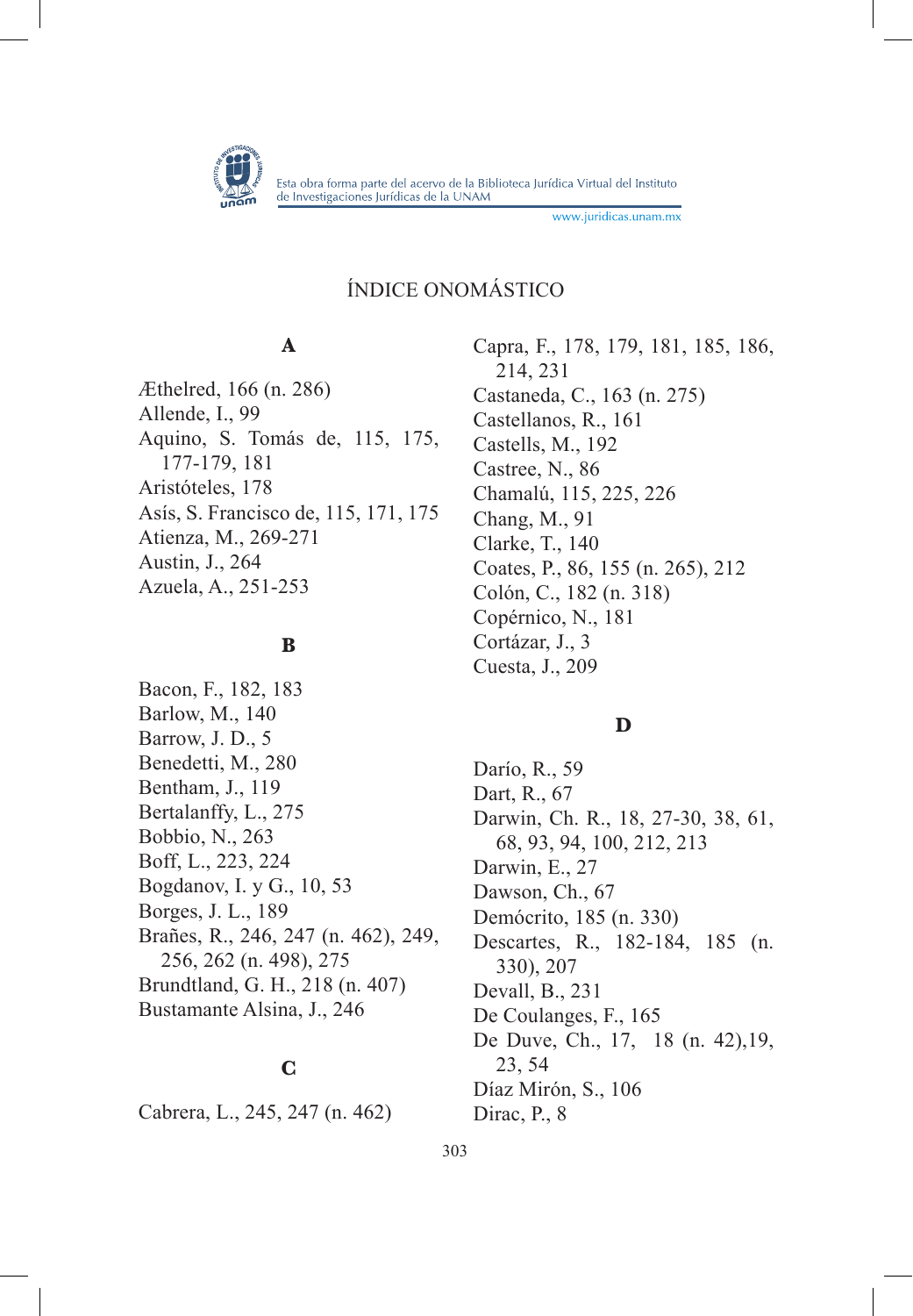

www.juridicas.unam.mx

# ÍNDICE ONOMÁSTICO

# **A**

Æthelred, 166 (n. 286) Allende, I., 99 Aquino, S. Tomás de, 115, 175, 177-179, 181 Aristóteles, 178 Asís, S. Francisco de, 115, 171, 175 Atienza, M., 269-271 Austin, J., 264 Azuela, A., 251-253

## **B**

Bacon, F., 182, 183 Barlow, M., 140 Barrow, J. D., 5 Benedetti, M., 280 Bentham, J., 119 Bertalanffy, L., 275 Bobbio, N., 263 Boff, L., 223, 224 Bogdanov, I. y G., 10, 53 Borges, J. L., 189 Brañes, R., 246, 247 (n. 462), 249, 256, 262 (n. 498), 275 Brundtland, G. H., 218 (n. 407) Bustamante Alsina, J., 246

# **C**

Cabrera, L., 245, 247 (n. 462)

Capra, F., 178, 179, 181, 185, 186, 214, 231 Castaneda, C., 163 (n. 275) Castellanos, R., 161 Castells, M., 192 Castree, N., 86 Chamalú, 115, 225, 226 Chang, M., 91 Clarke, T., 140 Coates, P., 86, 155 (n. 265), 212 Colón, C., 182 (n. 318) Copérnico, N., 181 Cortázar, J., 3 Cuesta, J., 209

# **D**

Darío, R., 59 Dart, R., 67 Darwin, Ch. R., 18, 27-30, 38, 61, 68, 93, 94, 100, 212, 213 Darwin, E., 27 Dawson, Ch., 67 Demócrito, 185 (n. 330) Descartes, R., 182-184, 185 (n. 330), 207 Devall, B., 231 De Coulanges, F., 165 De Duve, Ch., 17, 18 (n. 42),19, 23, 54 Díaz Mirón, S., 106 Dirac, P., 8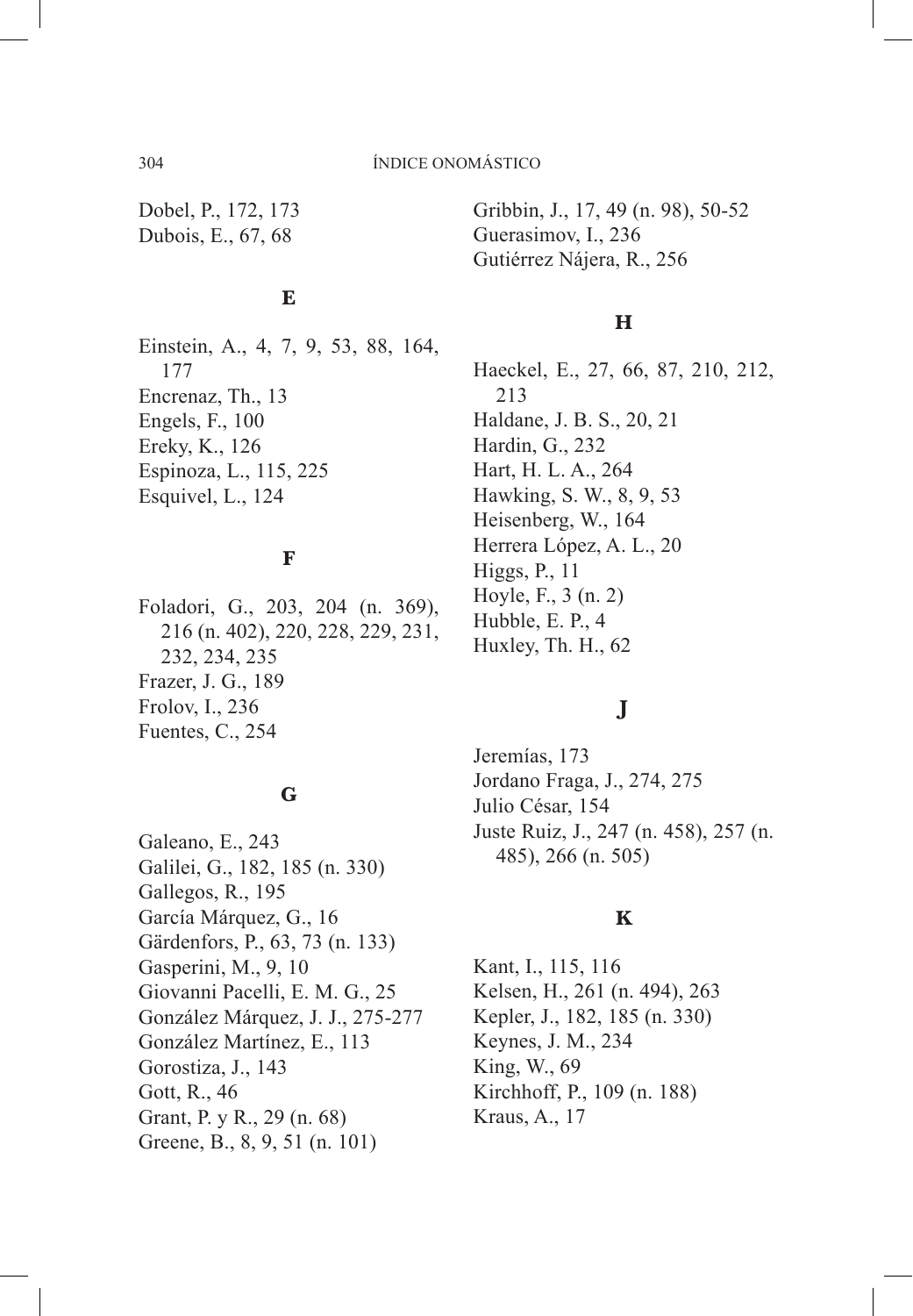Dobel, P., 172, 173 Dubois, E., 67, 68

Gribbin, J., 17, 49 (n. 98), 50-52 Guerasimov, I., 236 Gutiérrez Nájera, R., 256

# **E**

Einstein, A., 4, 7, 9, 53, 88, 164, 177 Encrenaz, Th., 13 Engels, F., 100 Ereky, K., 126 Espinoza, L., 115, 225 Esquivel, L., 124

# **F**

Foladori, G., 203, 204 (n. 369), 216 (n. 402), 220, 228, 229, 231, 232, 234, 235 Frazer, J. G., 189 Frolov, I., 236 Fuentes, C., 254

#### **G**

Galeano, E., 243 Galilei, G., 182, 185 (n. 330) Gallegos, R., 195 García Márquez, G., 16 Gärdenfors, P., 63, 73 (n. 133) Gasperini, M., 9, 10 Giovanni Pacelli, E. M. G., 25 González Márquez, J. J., 275-277 González Martínez, E., 113 Gorostiza, J., 143 Gott, R., 46 Grant, P. y R., 29 (n. 68) Greene, B., 8, 9, 51 (n. 101)

## **H**

Haeckel, E., 27, 66, 87, 210, 212, 213 Haldane, J. B. S., 20, 21 Hardin, G., 232 Hart, H. L. A., 264 Hawking, S. W., 8, 9, 53 Heisenberg, W., 164 Herrera López, A. L., 20 Higgs, P., 11 Hoyle, F., 3 (n. 2) Hubble, E. P., 4 Huxley, Th. H., 62

# **J**

Jeremías, 173 Jordano Fraga, J., 274, 275 Julio César, 154 Juste Ruiz, J., 247 (n. 458), 257 (n. 485), 266 (n. 505)

# **K**

Kant, I., 115, 116 Kelsen, H., 261 (n. 494), 263 Kepler, J., 182, 185 (n. 330) Keynes, J. M., 234 King, W., 69 Kirchhoff, P., 109 (n. 188) Kraus, A., 17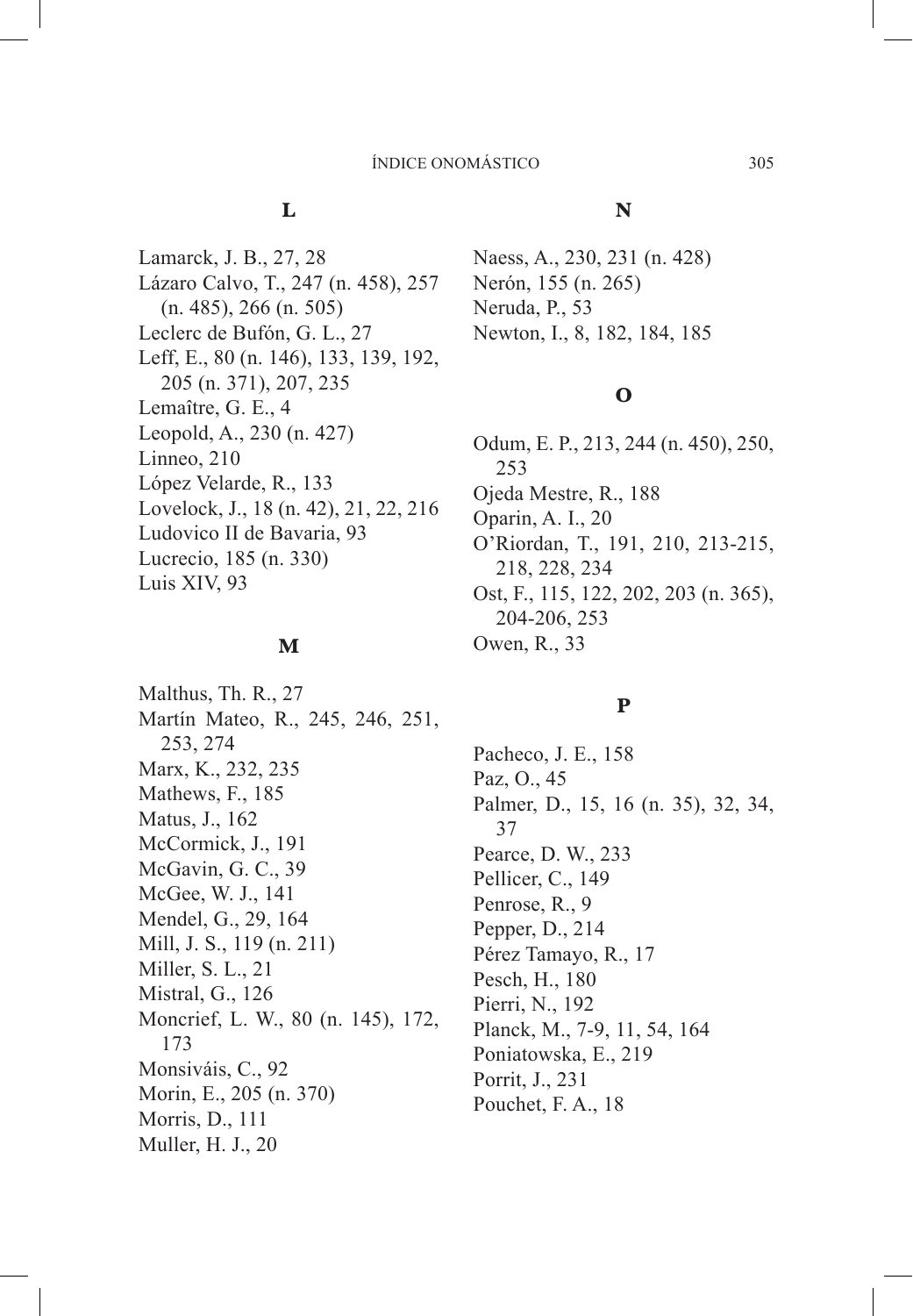# **L**

Lamarck, J. B., 27, 28 Lázaro Calvo, T., 247 (n. 458), 257 (n. 485), 266 (n. 505) Leclerc de Bufón, G. L., 27 Leff, E., 80 (n. 146), 133, 139, 192, 205 (n. 371), 207, 235 Lemaître, G. E., 4 Leopold, A., 230 (n. 427) Linneo, 210 López Velarde, R., 133 Lovelock, J., 18 (n. 42), 21, 22, 216 Ludovico II de Bavaria, 93 Lucrecio, 185 (n. 330) Luis XIV, 93

#### **M**

Malthus, Th. R., 27 Martín Mateo, R., 245, 246, 251, 253, 274 Marx, K., 232, 235 Mathews, F., 185 Matus, J., 162 McCormick, J., 191 McGavin, G. C., 39 McGee, W. J., 141 Mendel, G., 29, 164 Mill, J. S., 119 (n. 211) Miller, S. L., 21 Mistral, G., 126 Moncrief, L. W., 80 (n. 145), 172, 173 Monsiváis, C., 92 Morin, E., 205 (n. 370) Morris, D., 111 Muller, H. J., 20

#### **N**

Naess, A., 230, 231 (n. 428) Nerón, 155 (n. 265) Neruda, P., 53 Newton, I., 8, 182, 184, 185

# **O**

Odum, E. P., 213, 244 (n. 450), 250, 253 Ojeda Mestre, R., 188 Oparin, A. I., 20 O'Riordan, T., 191, 210, 213-215, 218, 228, 234 Ost, F., 115, 122, 202, 203 (n. 365), 204-206, 253 Owen, R., 33

# **P**

Pacheco, J. E., 158 Paz, O., 45 Palmer, D., 15, 16 (n. 35), 32, 34, 37 Pearce, D. W., 233 Pellicer, C., 149 Penrose, R., 9 Pepper, D., 214 Pérez Tamayo, R., 17 Pesch, H., 180 Pierri, N., 192 Planck, M., 7-9, 11, 54, 164 Poniatowska, E., 219 Porrit, J., 231 Pouchet, F. A., 18